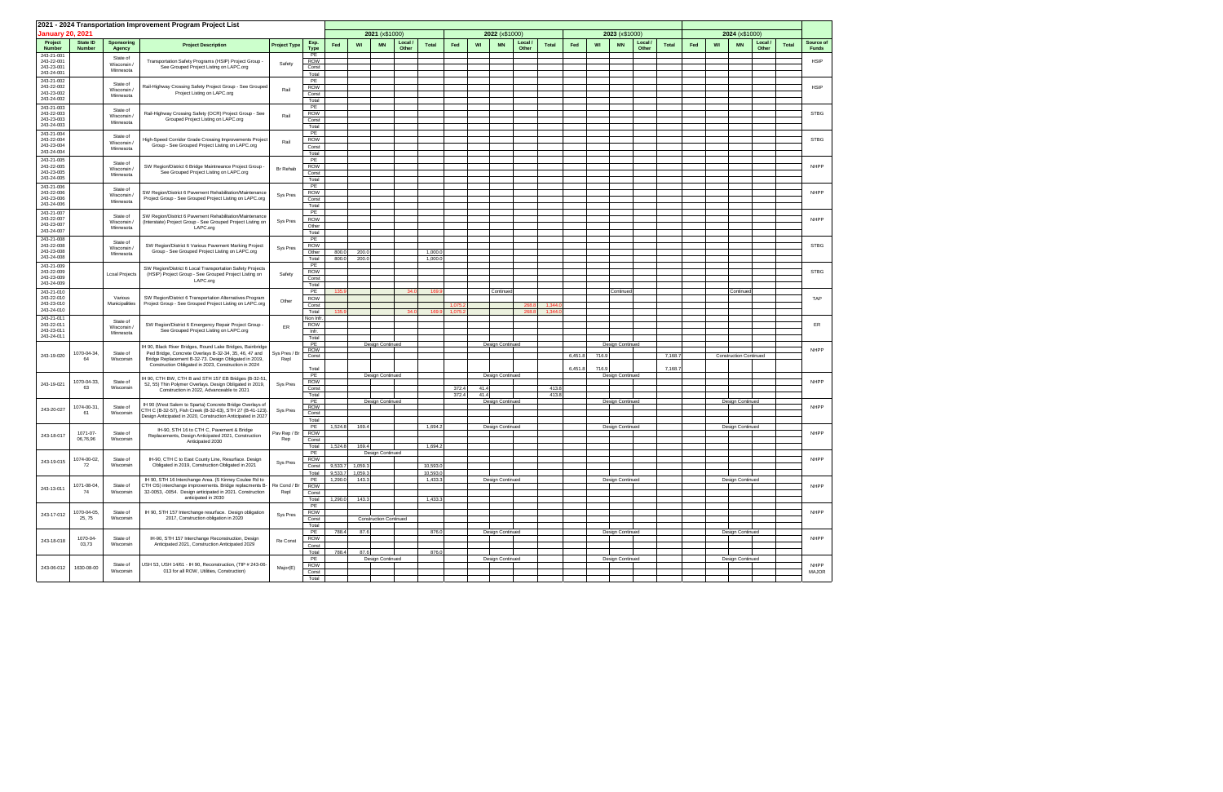|                          |                           |                             | 2021 - 2024 Transportation Improvement Program Project List                                                                      |                     |                     |                    |                    |                               |                |                     |         |      |                  |                  |              |         |       |                         |                  |              |     |    |                               |                  |              |                           |
|--------------------------|---------------------------|-----------------------------|----------------------------------------------------------------------------------------------------------------------------------|---------------------|---------------------|--------------------|--------------------|-------------------------------|----------------|---------------------|---------|------|------------------|------------------|--------------|---------|-------|-------------------------|------------------|--------------|-----|----|-------------------------------|------------------|--------------|---------------------------|
| <b>January 20, 2021</b>  |                           |                             |                                                                                                                                  |                     |                     |                    |                    | 2021 (x\$1000)                |                |                     |         |      | 2022 (x\$1000)   |                  |              |         |       | 2023 (x\$1000)          |                  |              |     |    | 2024 (x\$1000)                |                  |              |                           |
| Project<br><b>Number</b> | State ID<br><b>Number</b> | <b>Sponsoring</b><br>Agency | <b>Project Description</b>                                                                                                       | <b>Project Type</b> | Exp.<br><b>Type</b> | Fed                | WI                 | <b>MN</b>                     | Local<br>Other | <b>Total</b>        | Fed     | WI   | <b>MN</b>        | Local /<br>Other | <b>Total</b> | Fed     | WI    | <b>MN</b>               | Local /<br>Other | <b>Total</b> | Fed | WI | <b>MN</b>                     | Local /<br>Other | <b>Total</b> | Source of<br><b>Funds</b> |
| 243-21-001<br>243-22-001 |                           | State of                    |                                                                                                                                  |                     | PE<br><b>ROW</b>    |                    |                    |                               |                |                     |         |      |                  |                  |              |         |       |                         |                  |              |     |    |                               |                  |              | <b>HSIP</b>               |
| 243-23-001               |                           | Wisconsin<br>Minnesota      | Transportation Safety Programs (HSIP) Project Group<br>See Grouped Project Listing on LAPC.org                                   | Safety              | Const               |                    |                    |                               |                |                     |         |      |                  |                  |              |         |       |                         |                  |              |     |    |                               |                  |              |                           |
| 243-24-001               |                           |                             |                                                                                                                                  |                     | Total               |                    |                    |                               |                |                     |         |      |                  |                  |              |         |       |                         |                  |              |     |    |                               |                  |              |                           |
| 243-21-002<br>243-22-002 |                           | State of                    | Rail-Highway Crossing Safety Project Group - See Grouped                                                                         | Rail                | PE<br><b>ROW</b>    |                    |                    |                               |                |                     |         |      |                  |                  |              |         |       |                         |                  |              |     |    |                               |                  |              | <b>HSIP</b>               |
| 243-23-002<br>243-24-002 |                           | Wisconsin/<br>Minnesota     | Project Listing on LAPC.org                                                                                                      |                     | Const               |                    |                    |                               |                |                     |         |      |                  |                  |              |         |       |                         |                  |              |     |    |                               |                  |              |                           |
| 243-21-003               |                           |                             |                                                                                                                                  |                     | Total<br>PE         |                    |                    |                               |                |                     |         |      |                  |                  |              |         |       |                         |                  |              |     |    |                               |                  |              |                           |
| 243-22-003               |                           | State of<br>Wisconsin       | Rail-Highway Crossing Safety (OCR) Project Group - See                                                                           | Rail                | ROW                 |                    |                    |                               |                |                     |         |      |                  |                  |              |         |       |                         |                  |              |     |    |                               |                  |              | <b>STBG</b>               |
| 243-23-003<br>243-24-003 |                           | Minnesota                   | Grouped Project Listing on LAPC.org                                                                                              |                     | Const<br>Total      |                    |                    |                               |                |                     |         |      |                  |                  |              |         |       |                         |                  |              |     |    |                               |                  |              |                           |
| 243-21-004               |                           | State of                    |                                                                                                                                  |                     | PE                  |                    |                    |                               |                |                     |         |      |                  |                  |              |         |       |                         |                  |              |     |    |                               |                  |              |                           |
| 243-22-004<br>243-23-004 |                           | Wisconsin                   | ligh-Speed Corridor Grade Crossing Improvements Project<br>Group - See Grouped Project Listing on LAPC.org                       | Rail                | <b>ROW</b><br>Const |                    |                    |                               |                |                     |         |      |                  |                  |              |         |       |                         |                  |              |     |    |                               |                  |              | <b>STBG</b>               |
| 243-24-004               |                           | Minnesota                   |                                                                                                                                  |                     | Total               |                    |                    |                               |                |                     |         |      |                  |                  |              |         |       |                         |                  |              |     |    |                               |                  |              |                           |
| 243-21-005               |                           | State of                    |                                                                                                                                  |                     | PE                  |                    |                    |                               |                |                     |         |      |                  |                  |              |         |       |                         |                  |              |     |    |                               |                  |              |                           |
| 243-22-005<br>243-23-005 |                           | Wisconsin/                  | SW Region/District 6 Bridge Maintneance Project Group -<br>See Grouped Project Listing on LAPC.org                               | Br Rehab            | ROW<br>Const        |                    |                    |                               |                |                     |         |      |                  |                  |              |         |       |                         |                  |              |     |    |                               |                  |              | <b>NHPP</b>               |
| 243-24-005               |                           | Minnesota                   |                                                                                                                                  |                     | Total               |                    |                    |                               |                |                     |         |      |                  |                  |              |         |       |                         |                  |              |     |    |                               |                  |              |                           |
| 243-21-006<br>243-22-006 |                           | State of                    | SW Region/District 6 Pavement Rehabilitation/Maintenance                                                                         |                     | PE<br><b>ROW</b>    |                    |                    |                               |                |                     |         |      |                  |                  |              |         |       |                         |                  |              |     |    |                               |                  |              | NHPP                      |
| 243-23-006               |                           | Wisconsin<br>Minnesota      | Project Group - See Grouped Project Listing on LAPC.org                                                                          | Sys Pres            | Const               |                    |                    |                               |                |                     |         |      |                  |                  |              |         |       |                         |                  |              |     |    |                               |                  |              |                           |
| 243-24-006               |                           |                             |                                                                                                                                  |                     | Total<br>PE         |                    |                    |                               |                |                     |         |      |                  |                  |              |         |       |                         |                  |              |     |    |                               |                  |              |                           |
| 243-21-007<br>243-22-007 |                           | State of                    | SW Region/District 6 Pavement Rehabilitation/Maintenance                                                                         | Sys Pres            | <b>ROW</b>          |                    |                    |                               |                |                     |         |      |                  |                  |              |         |       |                         |                  |              |     |    |                               |                  |              | NHPP                      |
| 243-23-007<br>243-24-007 |                           | Wisconsin<br>Minnesota      | (Interstate) Project Group - See Grouped Project Listing on<br>LAPC.org                                                          |                     | Other               |                    |                    |                               |                |                     |         |      |                  |                  |              |         |       |                         |                  |              |     |    |                               |                  |              |                           |
| 243-21-008               |                           |                             |                                                                                                                                  |                     | Total<br>PE         |                    |                    |                               |                |                     |         |      |                  |                  |              |         |       |                         |                  |              |     |    |                               |                  |              |                           |
| 243-22-008               |                           | State of<br>Wisconsin       | SW Region/District 6 Various Pavement Marking Project                                                                            | Sys Pres            | ROW                 |                    |                    |                               |                |                     |         |      |                  |                  |              |         |       |                         |                  |              |     |    |                               |                  |              | <b>STBG</b>               |
| 243-23-008<br>243-24-008 |                           | Minnesota                   | Group - See Grouped Project Listing on LAPC.org                                                                                  |                     | Other<br>Total      | 800.0<br>800.0     | 200.0<br>200.0     |                               |                | 1,000.<br>1,000.    |         |      |                  |                  |              |         |       |                         |                  |              |     |    |                               |                  |              |                           |
| 243-21-009               |                           |                             |                                                                                                                                  |                     | PE                  |                    |                    |                               |                |                     |         |      |                  |                  |              |         |       |                         |                  |              |     |    |                               |                  |              |                           |
| 243-22-009<br>243-23-009 |                           | Lcoal Projects              | SW Region/District 6 Local Transportation Safety Projects<br>(HSIP) Project Group - See Grouped Project Listing on               | Safety              | ROW                 |                    |                    |                               |                |                     |         |      |                  |                  |              |         |       |                         |                  |              |     |    |                               |                  |              | <b>STBG</b>               |
| 243-24-009               |                           |                             | LAPC.org                                                                                                                         |                     | Const<br>Total      |                    |                    |                               |                |                     |         |      |                  |                  |              |         |       |                         |                  |              |     |    |                               |                  |              |                           |
| 243-21-010               |                           |                             |                                                                                                                                  |                     | PE                  | 135.               |                    |                               | 34.0           | 169                 |         |      | Continued        |                  |              |         |       | Continued               |                  |              |     |    | Continued                     |                  |              |                           |
| 243-22-010<br>243-23-010 |                           | Various<br>Municipalities   | SW Region/District 6 Transportation Alternatives Program<br>Project Group - See Grouped Project Listing on LAPC.org              | Other               | <b>ROW</b><br>Const |                    |                    |                               |                |                     | 1.075.  |      |                  | 268.8            | 1,344.       |         |       |                         |                  |              |     |    |                               |                  |              | TAP                       |
| 243-24-010               |                           |                             |                                                                                                                                  |                     | Total               | 135                |                    |                               | 34.0           | 169                 | 1,075.2 |      |                  | 268.8            | 1,344.       |         |       |                         |                  |              |     |    |                               |                  |              |                           |
| 243-21-011<br>243-22-011 |                           | State of                    | SW Region/District 6 Emergency Repair Project Group -                                                                            |                     | Non Infr            |                    |                    |                               |                |                     |         |      |                  |                  |              |         |       |                         |                  |              |     |    |                               |                  |              | ER                        |
| 243-23-011               |                           | Wisconsin<br>Minnesota      | See Grouped Project Listing on LAPC.org                                                                                          | ER                  | ROW<br>Infr.        |                    |                    |                               |                |                     |         |      |                  |                  |              |         |       |                         |                  |              |     |    |                               |                  |              |                           |
| 243-24-011               |                           |                             |                                                                                                                                  |                     | Total<br>PE         |                    |                    |                               |                |                     |         |      |                  |                  |              |         |       |                         |                  |              |     |    |                               |                  |              |                           |
|                          | 1070-04-34,               | State of                    | H 90, Black River Bridges, Round Lake Bridges, Bainbridge<br>Ped Bridge, Concrete Overlays B-32-34, 35, 46, 47 and               | Sys Pres / Br       | ROW                 |                    |                    | Design Continued              |                |                     |         |      | Design Continued |                  |              |         |       | Design Continued        |                  |              |     |    |                               |                  |              | NHPP                      |
| 243-19-020               | 64                        | Wisconsin                   | Bridge Replacement B-32-73. Design Obligated in 2019,                                                                            | Repl                | Const               |                    |                    |                               |                |                     |         |      |                  |                  |              | 6,451.8 | 716.9 |                         |                  | 7,168.       |     |    | <b>Construction Continued</b> |                  |              |                           |
|                          |                           |                             | Construction Obligated in 2023, Construction in 2024                                                                             |                     | Total               |                    |                    |                               |                |                     |         |      |                  |                  |              | 6,451.8 | 716.9 |                         |                  | 7,168.       |     |    |                               |                  |              |                           |
|                          | 1070-04-33,               | State of                    | IH 90, CTH BW, CTH B and STH 157 EB Bridges (B-32-51,                                                                            |                     | PE                  |                    |                    | Design Continued              |                |                     |         |      | Design Continued |                  |              |         |       | Design Continued        |                  |              |     |    |                               |                  |              | NHPP                      |
| 243-19-021               | 63                        | Wisconsin                   | 52, 55) Thin Polymer Overlays. Design Obligated in 2019,<br>Construction in 2022, Advanceable to 2021                            | Sys Pres            | ROW<br>Const        |                    |                    |                               |                |                     | 372.4   | 41.4 |                  |                  | 413.8        |         |       |                         |                  |              |     |    |                               |                  |              |                           |
|                          |                           |                             |                                                                                                                                  |                     | Total               |                    |                    |                               |                |                     | 372.4   | 41.4 |                  |                  | 413.8        |         |       |                         |                  |              |     |    |                               |                  |              |                           |
| 243-20-027               | 1074-00-31                | State of                    | IH 90 (West Salem to Sparta) Concrete Bridge Overlays of                                                                         |                     | PE<br><b>ROW</b>    |                    |                    | Design Continued              |                |                     |         |      | Design Continued |                  |              |         |       | <b>Design Continued</b> |                  |              |     |    | <b>Design Continued</b>       |                  |              | NHPP                      |
|                          | 61                        | Wisconsin                   | CTH C (B-32-57), Fish Creek (B-32-63), STH 27 (B-41-123).<br>Design Anticipated in 2020, Construction Anticipated in 2027        | Sys Pres            | Const               |                    |                    |                               |                |                     |         |      |                  |                  |              |         |       |                         |                  |              |     |    |                               |                  |              |                           |
|                          |                           |                             |                                                                                                                                  |                     | Total<br>PE         | 1,524.8            | 169.4              |                               |                | 1,694.              |         |      | Design Continued |                  |              |         |       | Design Continued        |                  |              |     |    | Design Continued              |                  |              |                           |
| 243-18-017               | 1071-07-                  | State of                    | IH-90, STH 16 to CTH C, Pavement & Bridge<br>Replacements, Design Anticipated 2021, Construction                                 | Pav Rep / Br        | ROW                 |                    |                    |                               |                |                     |         |      |                  |                  |              |         |       |                         |                  |              |     |    |                               |                  |              | NHPP                      |
|                          | 06,76,96                  | Wisconsin                   | Anticipated 2030                                                                                                                 | Rep                 | Const<br>Total      | 1,524.8            | 169.4              |                               |                | 1,694.              |         |      |                  |                  |              |         |       |                         |                  |              |     |    |                               |                  |              |                           |
|                          |                           |                             |                                                                                                                                  |                     | PE                  |                    |                    | Design Continued              |                |                     |         |      |                  |                  |              |         |       |                         |                  |              |     |    |                               |                  |              |                           |
| 243-19-015               | 1074-00-02,<br>72         | State of<br>Wisconsin       | IH-90, CTH C to East County Line, Resurface. Design<br>Obligated in 2019, Construction Obligated in 2021                         | Sys Pres            | ROW                 |                    |                    |                               |                |                     |         |      |                  |                  |              |         |       |                         |                  |              |     |    |                               |                  |              | NHPP                      |
|                          |                           |                             |                                                                                                                                  |                     | Const<br>Total      | 9,533.7<br>9,533.7 | 1,059.3<br>1,059.3 |                               |                | 10,593.<br>10,593.0 |         |      |                  |                  |              |         |       |                         |                  |              |     |    |                               |                  |              |                           |
|                          |                           |                             | IH 90, STH 16 Interchange Area. (S Kinney Coulee Rd to                                                                           |                     | PE                  | 1,290.0            | 143.3              |                               |                | 1,433.3             |         |      | Design Continued |                  |              |         |       | Design Continued        |                  |              |     |    | Design Continued              |                  |              |                           |
| 243-13-011               | 1071-08-04,<br>74         | State of<br>Wisconsin       | CTH OS) interchange improvements. Bridge replacments B- Re Cond / Br<br>32-0053, -0054. Design anticipated in 2021. Construction | Repl                | ROW<br>Const        |                    |                    |                               |                |                     |         |      |                  |                  |              |         |       |                         |                  |              |     |    |                               |                  |              | NHPP                      |
|                          |                           |                             | anticipated in 2030                                                                                                              |                     | Total               | 1,290.0            | 143.3              |                               |                | 1,433.              |         |      |                  |                  |              |         |       |                         |                  |              |     |    |                               |                  |              |                           |
|                          | 1070-04-05,               | State of                    | IH 90, STH 157 Interchange resurface. Design obligation                                                                          |                     | PE<br>ROW           |                    |                    |                               |                |                     |         |      |                  |                  |              |         |       |                         |                  |              |     |    |                               |                  |              | <b>NHPP</b>               |
| 243-17-012               | 25, 75                    | Wisconsin                   | 2017, Construction obligation in 2020                                                                                            | Sys Pres            | Const               |                    |                    | <b>Construction Continued</b> |                |                     |         |      |                  |                  |              |         |       |                         |                  |              |     |    |                               |                  |              |                           |
|                          |                           |                             |                                                                                                                                  |                     | Total               |                    |                    |                               |                |                     |         |      |                  |                  |              |         |       |                         |                  |              |     |    |                               |                  |              |                           |
|                          | 1070-04-                  | State of                    | IH-90, STH 157 Interchange Reconstruction, Design                                                                                |                     | PE<br>ROW           | 788.4              | 87.6               |                               |                | 876.0               |         |      | Design Continued |                  |              |         |       | Design Continued        |                  |              |     |    | Design Continued              |                  |              | NHPP                      |
| 243-18-018               | 03,73                     | Wisconsin                   | Anticipated 2021, Construction Anticipated 2029                                                                                  | Re Const            | Const               |                    |                    |                               |                |                     |         |      |                  |                  |              |         |       |                         |                  |              |     |    |                               |                  |              |                           |
|                          |                           |                             |                                                                                                                                  |                     | Total<br>PE         | 788.4              | 87.6               | Design Continued              |                | 876.0               |         |      | Design Continued |                  |              |         |       | Design Continued        |                  |              |     |    | Design Continued              |                  |              |                           |
| 243-06-012               | 1630-08-00                | State of                    | USH 53, USH 14/61 - IH 90, Reconstruction, (TIP # 243-06-                                                                        | Major(E)            | ROW                 |                    |                    |                               |                |                     |         |      |                  |                  |              |         |       |                         |                  |              |     |    |                               |                  |              | NHPP                      |
|                          |                           | Wisconsin                   | 013 for all ROW, Utilities, Construction)                                                                                        |                     | Const               |                    |                    |                               |                |                     |         |      |                  |                  |              |         |       |                         |                  |              |     |    |                               |                  |              | MAJOR                     |
|                          |                           |                             |                                                                                                                                  |                     | Total               |                    |                    |                               |                |                     |         |      |                  |                  |              |         |       |                         |                  |              |     |    |                               |                  |              |                           |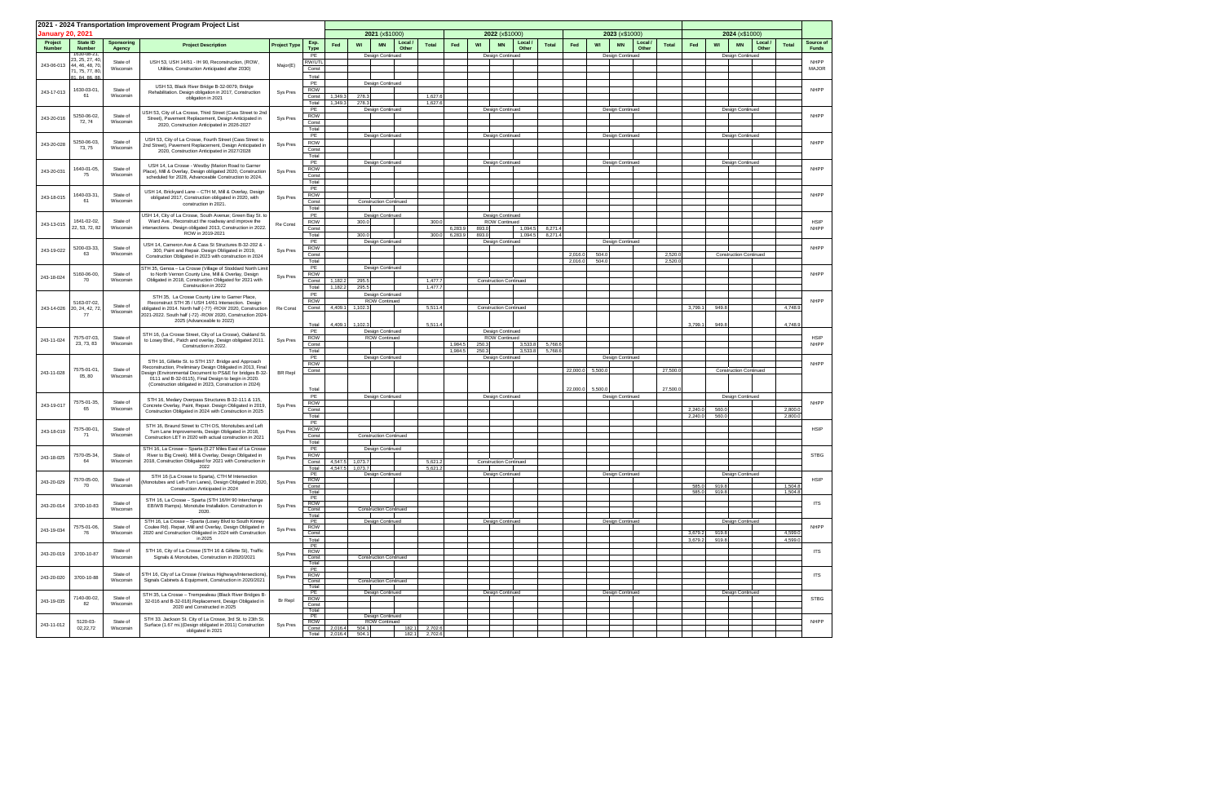|                             |                                    |                       | 2021 - 2024 Transportation Improvement Program Project List                                                             |                     |                  |                    |                            |                                   |                       |         |       |                                 |              |         |                  |                  |       |              |                    |                               |         |                    |                            |
|-----------------------------|------------------------------------|-----------------------|-------------------------------------------------------------------------------------------------------------------------|---------------------|------------------|--------------------|----------------------------|-----------------------------------|-----------------------|---------|-------|---------------------------------|--------------|---------|------------------|------------------|-------|--------------|--------------------|-------------------------------|---------|--------------------|----------------------------|
| January 20, 2021<br>Project | State ID                           | Sponsoring            |                                                                                                                         |                     | Exp.             |                    |                            | 2021 (x\$1000)                    | Local /               |         |       | 2022 (x\$1000)<br>Local /       |              |         |                  | 2023 (x\$1000)   | Local |              |                    | 2024 (x\$1000)                | Local / |                    | Source of                  |
| <b>Number</b>               | <b>Number</b><br>1630-08-21        | Agency                | <b>Project Description</b>                                                                                              | <b>Project Type</b> | <b>Type</b>      | Fed                | WI                         | <b>MN</b>                         | <b>Total</b><br>Other | Fed     | WI    | <b>MN</b><br>Other              | <b>Total</b> | Fed     | WI               |                  | Other | <b>Total</b> | Fed                | WI<br><b>MN</b>               | Other   | <b>Total</b>       | <b>Funds</b>               |
|                             | 23, 25, 27, 40,                    | State of              | USH 53, USH 14/61 - IH 90, Reconstruction, (ROW,                                                                        |                     | PE<br>RW/UTI     |                    |                            | Design Continued                  |                       |         |       | Design Continued                |              |         |                  | Design Continued |       |              |                    | Design Continued              |         |                    | <b>NHPP</b>                |
| 243-06-013                  | 44, 46, 48, 70,<br>71, 75, 77, 80, | Wisconsin             | Utilities, Construction Anticipated after 2030)                                                                         | Major(E)            | Const            |                    |                            |                                   |                       |         |       |                                 |              |         |                  |                  |       |              |                    |                               |         |                    | <b>MAJOR</b>               |
|                             | 81, 84, 86, 88                     |                       |                                                                                                                         |                     | Total<br>PE      |                    |                            | Design Continued                  |                       |         |       |                                 |              |         |                  |                  |       |              |                    |                               |         |                    |                            |
| 243-17-013                  | 1630-03-01,<br>61                  | State of              | USH 53, Black River Bridge B-32-0079, Bridge<br>Rehabilitation. Design obligation in 2017, Construction                 | Sys Pres            | <b>ROW</b>       |                    |                            |                                   |                       |         |       |                                 |              |         |                  |                  |       |              |                    |                               |         |                    | <b>NHPP</b>                |
|                             |                                    | Wisconsin             | obligation in 2021                                                                                                      |                     | Const<br>Total   | 1,349.3<br>1,349.3 | 278.3<br>278.3             |                                   | 1,627.6<br>1,627.6    |         |       |                                 |              |         |                  |                  |       |              |                    |                               |         |                    |                            |
|                             | 5250-06-02,                        | State of              | JSH 53, City of La Crosse, Third Street (Cass Street to 2nd                                                             |                     | PE               |                    |                            | Design Continued                  |                       |         |       | Design Continued                |              |         |                  | Design Continued |       |              |                    | Design Continued              |         |                    | <b>NHPP</b>                |
| 243-20-016                  | 72, 74                             | Wisconsin             | Street), Pavement Replacement, Design Anticipated in<br>2020, Construction Anticipated in 2026-2027                     | Sys Pres            | ROW<br>Const     |                    |                            |                                   |                       |         |       |                                 |              |         |                  |                  |       |              |                    |                               |         |                    |                            |
|                             |                                    |                       |                                                                                                                         |                     | Total<br>PE      |                    |                            | Design Continued                  |                       |         |       | Design Continued                |              |         |                  | Design Continued |       |              |                    | <b>Design Continued</b>       |         |                    |                            |
| 243-20-028                  | 5250-06-03,                        | State of              | USH 53, City of La Crosse, Fourth Street (Cass Street to<br>2nd Street), Pavement Replacement, Design Anticipated in    | Sys Pres            | ROW              |                    |                            |                                   |                       |         |       |                                 |              |         |                  |                  |       |              |                    |                               |         |                    | <b>NHPP</b>                |
|                             | 73, 75                             | Wisconsin             | 2020, Construction Anticipated in 2027/2028                                                                             |                     | Const<br>Total   |                    |                            |                                   |                       |         |       |                                 |              |         |                  |                  |       |              |                    |                               |         |                    |                            |
|                             |                                    |                       | USH 14, La Crosse - Westby (Marion Road to Garner                                                                       |                     | PE               |                    |                            | Design Continued                  |                       |         |       | Design Continued                |              |         |                  | Design Continued |       |              |                    | Design Continued              |         |                    |                            |
| 243-20-031                  | 1640-01-05,<br>75                  | State of<br>Wisconsin | Place), Mill & Overlay, Design obligated 2020, Construction<br>scheduled for 2028, Advanceable Construction to 2024.    | Sys Pres            | ROW<br>Const     |                    |                            |                                   |                       |         |       |                                 |              |         |                  |                  |       |              |                    |                               |         |                    | <b>NHPP</b>                |
|                             |                                    |                       |                                                                                                                         |                     | Total            |                    |                            |                                   |                       |         |       |                                 |              |         |                  |                  |       |              |                    |                               |         |                    |                            |
| 243-18-015                  | 1640-03-31.                        | State of              | USH 14, Brickyard Lane - CTH M, Mill & Overlay, Design<br>obligated 2017, Construction obligated in 2020, with          | Sys Pres            | PE<br><b>ROW</b> |                    |                            |                                   |                       |         |       |                                 |              |         |                  |                  |       |              |                    |                               |         |                    | <b>NHPP</b>                |
|                             | 61                                 | Wisconsin             | construction in 2021.                                                                                                   |                     | Const<br>Total   |                    |                            | <b>Construction Continued</b>     |                       |         |       |                                 |              |         |                  |                  |       |              |                    |                               |         |                    |                            |
|                             |                                    |                       | USH 14, City of La Crosse, South Avenue; Green Bay St. to                                                               |                     | PE               |                    |                            | Design Continued                  |                       |         |       | Design Continued                |              |         |                  |                  |       |              |                    |                               |         |                    |                            |
| 243-13-015                  | 1641-02-02,<br>22, 53, 72, 82      | State of<br>Wisconsin | Ward Ave., Reconstruct the roadway and improve the<br>intersections. Design obligated 2013, Construction in 2022.       | Re Const            | ROW<br>Const     |                    | 300.0                      |                                   | 300.0                 | 6,283.9 | 893.0 | ROW Continued<br>1,094.5        | 8,271.4      |         |                  |                  |       |              |                    |                               |         |                    | <b>HSIP</b><br><b>NHPP</b> |
|                             |                                    |                       | ROW in 2019-2021                                                                                                        |                     | Total            |                    | 300.0                      |                                   | 300.0                 | 6,283.9 | 893.0 | 1,094.5                         | 8,271.4      |         |                  |                  |       |              |                    |                               |         |                    |                            |
|                             | 5200-03-33,                        | State of              | USH 14, Cameron Ave & Cass St Structures B-32-202 &                                                                     |                     | PE<br>ROW        |                    |                            | Design Continued                  |                       |         |       | Design Continued                |              |         |                  | Design Continued |       |              |                    |                               |         |                    | <b>NHPP</b>                |
| 243-19-022                  | 63                                 | Wisconsin             | 300, Paint and Repair. Design Obligated in 2019,<br>Construction Obligated in 2023 with construction in 2024            | Sys Pres            | Const            |                    |                            |                                   |                       |         |       |                                 |              | 2,016.0 | 504.0            |                  |       | 2,520.0      |                    | <b>Construction Continued</b> |         |                    |                            |
|                             |                                    |                       | STH 35, Genoa - La Crosse (Village of Stoddard North Limi                                                               |                     | Total<br>PE      |                    |                            | Design Continued                  |                       |         |       |                                 |              | 2,016.0 | 504.0            |                  |       | 2,520.0      |                    |                               |         |                    |                            |
| 243-18-024                  | 5160-06-00,<br>70                  | State of<br>Wisconsin | to North Vernon County Line, Mill & Overlay, Design<br>Obligated in 2018, Construction Obligated for 2021 with          | Sys Pres            | ROW<br>Const     | 1,182.2            | 295.5                      |                                   | 1,477.7               |         |       | <b>Construction Continued</b>   |              |         |                  |                  |       |              |                    |                               |         |                    | <b>NHPP</b>                |
|                             |                                    |                       | Construction in 2022                                                                                                    |                     | Total            | 1,182.2            | 295.5                      |                                   | 1,477.                |         |       |                                 |              |         |                  |                  |       |              |                    |                               |         |                    |                            |
|                             |                                    |                       | STH 35, La Crosse County Line to Garner Place,                                                                          |                     | PE<br><b>ROW</b> |                    |                            | Design Continued<br>ROW Continued |                       |         |       |                                 |              |         |                  |                  |       |              |                    |                               |         |                    | <b>NHPP</b>                |
| 243-14-026                  | 5163-07-02,<br>20, 24, 42, 72,     | State of<br>Wisconsin | Reconstruct STH 35 / USH 14/61 Intersection. Design<br>obligated in 2014. North half (-77) -ROW 2020, Construction      | Re Const            | Const            | 4,409.1            | 1,102.3                    |                                   | 5,511.4               |         |       | <b>Construction Continued</b>   |              |         |                  |                  |       |              | 3,799.1            | 949.8                         |         | 4,748.9            |                            |
|                             | 77                                 |                       | 2021-2022. South half (-72) -ROW 2020, Construction 2024-<br>2025 (Advanceable to 2022)                                 |                     |                  |                    |                            |                                   |                       |         |       |                                 |              |         |                  |                  |       |              |                    |                               |         |                    |                            |
|                             |                                    |                       |                                                                                                                         |                     | Total<br>PE      | 4,409.1            | 1,102.3                    | Design Continued                  | 5,511.4               |         |       | Design Continued                |              |         |                  |                  |       |              | 3.799.1            | 949.8                         |         | 4.748.9            |                            |
| 243-11-024                  | 7575-07-03.<br>23, 73, 83          | State of<br>Wisconsin | STH 16, (La Crosse Street, City of La Crosse), Oakland St.<br>to Losey Blvd., Patch and overlay, Design obligated 2011. | Sys Pres            | ROW<br>Const     |                    |                            | ROW Continued                     |                       | 1,984.5 | 250.3 | <b>ROW Continued</b><br>3,533.8 | 5,768.6      |         |                  |                  |       |              |                    |                               |         |                    | <b>HSIP</b><br><b>NHPP</b> |
|                             |                                    |                       | Construction in 2022.                                                                                                   |                     | Total            |                    |                            |                                   |                       | 1,984.5 | 250.3 | 3,533.8                         | 5,768.6      |         |                  |                  |       |              |                    |                               |         |                    |                            |
|                             |                                    |                       | STH 16, Gillette St. to STH 157. Bridge and Approach                                                                    |                     | PE<br>ROW        |                    |                            | Design Continued                  |                       |         |       | Design Continued                |              |         |                  | Design Continued |       |              |                    |                               |         |                    | <b>NHPP</b>                |
| 243-11-028                  | 7575-01-01,<br>05, 80              | State of<br>Wisconsin | Reconstruction, Preliminary Design Obligated in 2013, Final<br>Design (Environmental Document to PS&E for bridges B-32- | <b>BR</b> Repl      | Const            |                    |                            |                                   |                       |         |       |                                 |              |         | 22,000.0 5,500.0 |                  |       | 27,500.0     |                    | <b>Construction Continued</b> |         |                    |                            |
|                             |                                    |                       | 0111 and B-32-0115), Final Design to begin in 2020.<br>(Construction obligated in 2023, Construction in 2024)           |                     |                  |                    |                            |                                   |                       |         |       |                                 |              |         |                  |                  |       |              |                    |                               |         |                    |                            |
|                             |                                    |                       |                                                                                                                         |                     | Total<br>PE      |                    |                            | Design Continued                  |                       |         |       | Design Continued                |              |         | 22,000.0 5,500.0 | Design Continued |       | 27,500.0     |                    | Design Continued              |         |                    |                            |
| 243-19-017                  | 7575-01-35,                        | State of              | STH 16, Medary Overpass Structures B-32-111 & 115,<br>Concrete Overlay, Paint, Repair. Design Obligated in 2019,        | Sys Pres            | ROW              |                    |                            |                                   |                       |         |       |                                 |              |         |                  |                  |       |              |                    |                               |         |                    | <b>NHPP</b>                |
|                             | 65                                 | Wisconsin             | Construction Obligated in 2024 with Construction in 2025                                                                |                     | Const<br>Total   |                    |                            |                                   |                       |         |       |                                 |              |         |                  |                  |       |              | 2,240.0<br>2,240.0 | 560.0<br>560.0                |         | 2,800.0<br>2,800.0 |                            |
|                             | 7575-00-01,                        | State of              | STH 16, Braund Street to CTH OS, Monotubes and Left                                                                     |                     | PE               |                    |                            |                                   |                       |         |       |                                 |              |         |                  |                  |       |              |                    |                               |         |                    | <b>HSIP</b>                |
| 243-18-019                  | 71                                 | Wisconsin             | Turn Lane Improvements, Design Obligated in 2018,<br>Construction LET in 2020 with actual construction in 2021          | Sys Pres            | ROW<br>Const     |                    |                            | <b>Construction Continued</b>     |                       |         |       |                                 |              |         |                  |                  |       |              |                    |                               |         |                    |                            |
|                             |                                    |                       | STH 16, La Crosse - Sparta (0.27 Miles East of La Crosse                                                                |                     | Total<br>PE      |                    |                            | Design Continued                  |                       |         |       |                                 |              |         |                  |                  |       |              |                    |                               |         |                    |                            |
| 243-18-025                  | 7570-05-34,<br>64                  | State of              | River to Big Creek). Mill & Overlay, Design Obligated in                                                                | Sys Pres            | <b>ROW</b>       |                    |                            |                                   |                       |         |       |                                 |              |         |                  |                  |       |              |                    |                               |         |                    | <b>STBG</b>                |
|                             |                                    | Wisconsin             | 2018, Construction Obligated for 2021 with Construction in<br>2022                                                      |                     | Const<br>Total   | 4,547.5            | 1,073.7<br>4,547.5 1,073.7 |                                   | 5,621.2<br>5,621.2    |         |       | <b>Construction Continued</b>   |              |         |                  |                  |       |              |                    |                               |         |                    |                            |
|                             | 7570-05-00,                        | State of              | STH 16 (La Crosse to Sparta), CTH M Intersection                                                                        |                     | PE<br>ROW        |                    |                            | Design Continued                  |                       |         |       | Design Continued                |              |         |                  | Design Continued |       |              |                    | Design Continued              |         |                    | <b>HSIP</b>                |
| 243-20-029                  | 70                                 | Wisconsin             | Monotubes and Left-Turn Lanes), Design Obligated in 2020,<br>Construction Anticipated in 2024                           | Sys Pres            | Const<br>Total   |                    |                            |                                   |                       |         |       |                                 |              |         |                  |                  |       |              | 585.0<br>585.0     | 919.8<br>919.8                |         | 1,504.8<br>1,504.8 |                            |
|                             |                                    |                       | STH 16, La Crosse - Sparta (STH 16/IH 90 Interchange                                                                    |                     | PE               |                    |                            |                                   |                       |         |       |                                 |              |         |                  |                  |       |              |                    |                               |         |                    |                            |
| 243-20-014                  | 3700-10-83                         | State of<br>Wisconsin | EB/WB Ramps). Monotube Installation. Construction in<br>2020.                                                           | Sys Pres            | ROW<br>Const     |                    |                            | <b>Construction Continued</b>     |                       |         |       |                                 |              |         |                  |                  |       |              |                    |                               |         |                    | <b>ITS</b>                 |
|                             |                                    |                       | STH 16, La Crosse - Sparta (Losey Blvd to South Kinney                                                                  |                     | Total<br>PE      |                    |                            | Design Continued                  |                       |         |       | Design Continued                |              |         |                  | Design Continued |       |              |                    | Design Continued              |         |                    |                            |
| 243-19-034                  | 7575-01-06,<br>76                  | State of<br>Wisconsin | Coulee Rd). Repair, Mill and Overlay, Design Obligated in<br>2020 and Construction Obligated in 2024 with Construction  | Sys Pres            | ROW<br>Const     |                    |                            |                                   |                       |         |       |                                 |              |         |                  |                  |       |              | 3,679.2            | 919.8                         |         | 4,599.0            | <b>NHPP</b>                |
|                             |                                    |                       | in 2025                                                                                                                 |                     | Total            |                    |                            |                                   |                       |         |       |                                 |              |         |                  |                  |       |              | 3,679.2            | 919.8                         |         | 4,599.0            |                            |
| 243-20-019                  | 3700-10-87                         | State of              | STH 16, City of La Crosse (STH 16 & Gillette St), Traffic                                                               | Sys Pres            | PE<br>ROW        |                    |                            |                                   |                       |         |       |                                 |              |         |                  |                  |       |              |                    |                               |         |                    | <b>ITS</b>                 |
|                             |                                    | Wisconsin             | Signals & Monotubes, Construction in 2020/2021                                                                          |                     | Const<br>Total   |                    |                            | <b>Construction Continued</b>     |                       |         |       |                                 |              |         |                  |                  |       |              |                    |                               |         |                    |                            |
|                             |                                    | State of              | STH 16, City of La Crosse (Various Highways/Intersections),                                                             |                     | PE<br>ROW        |                    |                            |                                   |                       |         |       |                                 |              |         |                  |                  |       |              |                    |                               |         |                    | <b>ITS</b>                 |
| 243-20-020                  | 3700-10-88                         | Wisconsin             | Signals Cabinets & Equipment, Construction in 2020/2021                                                                 | Sys Pres            | Const            |                    |                            | <b>Construction Continued</b>     |                       |         |       |                                 |              |         |                  |                  |       |              |                    |                               |         |                    |                            |
|                             |                                    |                       | STH 35, La Crosse - Trempealeau (Black River Bridges B-                                                                 |                     | Total<br>PE      |                    |                            | Design Continued                  |                       |         |       | Design Continued                |              |         |                  | Design Continued |       |              |                    | Design Continued              |         |                    |                            |
| 243-19-035                  | 7140-00-02,<br>82                  | State of<br>Wisconsin | 32-016 and B-32-018).Replacement, Design Obligated in<br>2020 and Constructed in 2025                                   | Br Repl             | ROW<br>Const     |                    |                            |                                   |                       |         |       |                                 |              |         |                  |                  |       |              |                    |                               |         |                    | <b>STBG</b>                |
|                             |                                    |                       |                                                                                                                         |                     | Total<br>PE      |                    |                            | Design Continued                  |                       |         |       |                                 |              |         |                  |                  |       |              |                    |                               |         |                    |                            |
| 243-11-012                  | 5120-03-<br>02,22,72               | State of<br>Wisconsin | STH 33. Jackson St. City of La Crosse, 3rd St. to 23th St.<br>Surface (1.67 mi.)(Design obligated in 2011) Construction | Sys Pres            | ROW<br>Const     | 2,016.4            | 504.1                      | <b>ROW Continued</b>              | 182.1<br>2,702.6      |         |       |                                 |              |         |                  |                  |       |              |                    |                               |         |                    | <b>NHPP</b>                |
|                             |                                    |                       | obligated in 2021                                                                                                       |                     | Total            | 2,016.4            | 504.1                      |                                   | 182.1<br>2,702.6      |         |       |                                 |              |         |                  |                  |       |              |                    |                               |         |                    |                            |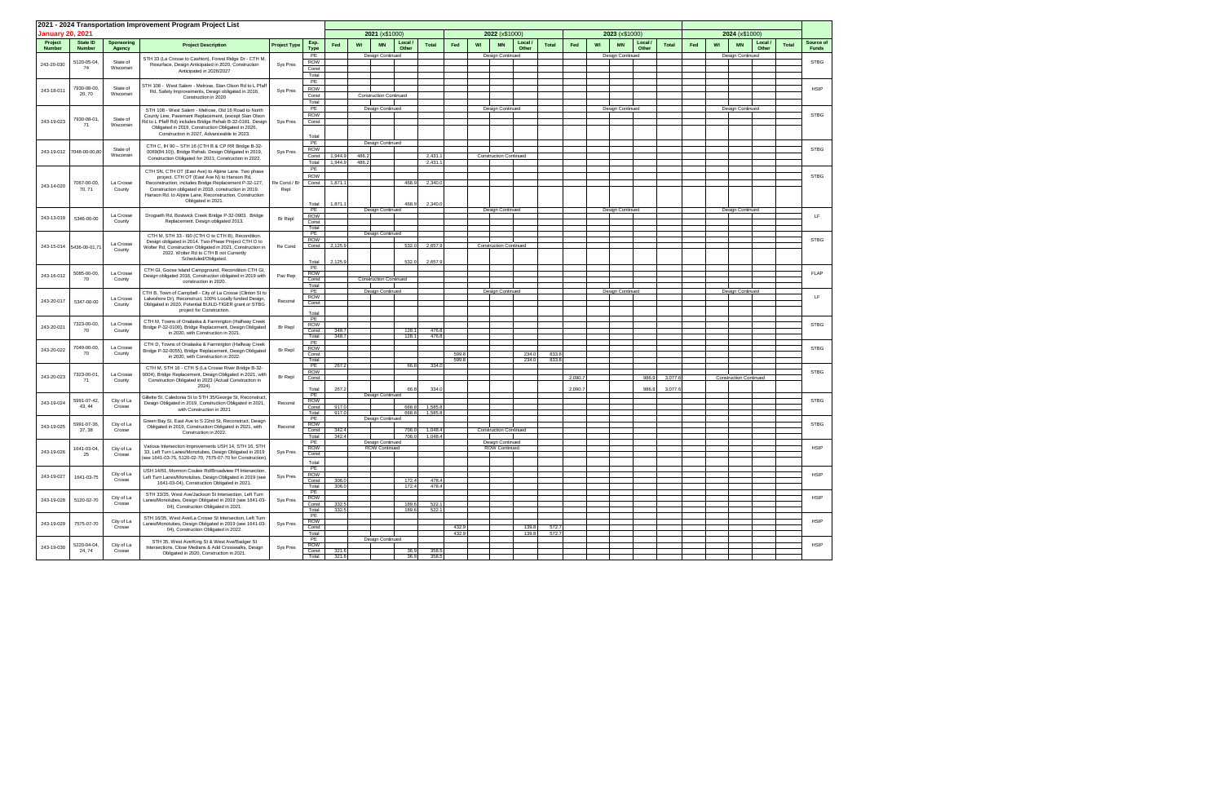|                          |                                  |                             | 2021 - 2024 Transportation Improvement Program Project List                                                         |                     |                     |                |                               |                |                   |                |    |                               |                |         |    |                  |                |              |     |                               |                  |              |                           |  |  |  |  |  |  |  |
|--------------------------|----------------------------------|-----------------------------|---------------------------------------------------------------------------------------------------------------------|---------------------|---------------------|----------------|-------------------------------|----------------|-------------------|----------------|----|-------------------------------|----------------|---------|----|------------------|----------------|--------------|-----|-------------------------------|------------------|--------------|---------------------------|--|--|--|--|--|--|--|
| <b>January 20, 2021</b>  |                                  |                             |                                                                                                                     |                     |                     |                | 2021 (x\$1000)                |                |                   |                |    | 2022 (x\$1000)                |                |         |    | 2023 (x\$1000)   |                |              |     | 2024 (x\$1000)                |                  |              |                           |  |  |  |  |  |  |  |
| Project<br><b>Number</b> | <b>State ID</b><br><b>Number</b> | <b>Sponsoring</b><br>Agency | <b>Project Description</b>                                                                                          | <b>Project Type</b> | Exp.<br><b>Type</b> | Fed            | WI<br><b>MN</b>               | Local<br>Other | <b>Total</b>      | Fed            | WI | Local /<br><b>MN</b><br>Other | <b>Total</b>   | Fed     | WI | <b>MN</b>        | Local<br>Other | <b>Total</b> | Fed | WI<br><b>MN</b>               | Local /<br>Other | <b>Total</b> | Source of<br><b>Funds</b> |  |  |  |  |  |  |  |
|                          | 5120-05-04,                      | State of                    | STH 33 (La Crosse to Cashton), Forest Ridge Dr - CTH M,                                                             |                     | PE<br><b>ROW</b>    |                | Design Continued              |                |                   |                |    | Design Continued              |                |         |    | Design Continued |                |              |     | Design Continued              |                  |              | <b>STBG</b>               |  |  |  |  |  |  |  |
| 243-20-030               | 74                               | Wisconsin                   | Resurface, Design Anticipated in 2020, Construction<br>Anticipated in 2026/2027                                     | Sys Pres            | Const               |                |                               |                |                   |                |    |                               |                |         |    |                  |                |              |     |                               |                  |              |                           |  |  |  |  |  |  |  |
|                          |                                  |                             |                                                                                                                     |                     | Total<br>PE         |                |                               |                |                   |                |    |                               |                |         |    |                  |                |              |     |                               |                  |              |                           |  |  |  |  |  |  |  |
| 243-18-011               | 7930-08-00,                      | State of                    | STH 108 - West Salem - Melrose, Stan Olson Rd to L Pfaff<br>Rd, Safety Improvements, Design obligated in 2016,      | Sys Pres            | ROW                 |                |                               |                |                   |                |    |                               |                |         |    |                  |                |              |     |                               |                  |              | <b>HSIP</b>               |  |  |  |  |  |  |  |
|                          | 20, 70                           | Wisconsin                   | Construction in 2020                                                                                                |                     | Const<br>Total      |                | <b>Construction Continued</b> |                |                   |                |    |                               |                |         |    |                  |                |              |     |                               |                  |              |                           |  |  |  |  |  |  |  |
|                          |                                  |                             | STH 108 - West Salem - Melrose, Old 16 Road to North                                                                |                     | PE                  |                | Design Continued              |                |                   |                |    | Design Continued              |                |         |    | Design Continued |                |              |     | Design Continued              |                  |              |                           |  |  |  |  |  |  |  |
| 243-19-023               | 7930-08-01,                      | State of                    | County Line, Pavement Replacement, (except Stan Olson<br>Rd to L Pfaff Rd) includes Bridge Rehab B-32-0181. Design  | Sys Pres            | <b>ROW</b>          |                |                               |                |                   |                |    |                               |                |         |    |                  |                |              |     |                               |                  |              | <b>STBG</b>               |  |  |  |  |  |  |  |
|                          | 71                               | Wisconsin                   | Obligated in 2019, Construction Obligated in 2026,                                                                  |                     | Const               |                |                               |                |                   |                |    |                               |                |         |    |                  |                |              |     |                               |                  |              |                           |  |  |  |  |  |  |  |
|                          |                                  |                             | Construction in 2027. Advanceable to 2023.                                                                          |                     | Total               |                |                               |                |                   |                |    |                               |                |         |    |                  |                |              |     |                               |                  |              |                           |  |  |  |  |  |  |  |
|                          |                                  | State of                    | CTH C, IH 90 - STH 16 (CTH B & CP RR Bridge B-32-                                                                   |                     | PE<br>ROW           |                | Design Continued              |                |                   |                |    |                               |                |         |    |                  |                |              |     |                               |                  |              | <b>STBG</b>               |  |  |  |  |  |  |  |
|                          | 243-19-012 7048-00-00,80         | Wisconsin                   | 0069(84.10)), Bridge Rehab, Design Obligated in 2019,<br>Construction Obligated for 2021; Construction in 2022.     | Sys Pres            | Const               | 1,944.9        | 486.2                         |                | 2,431.            |                |    | <b>Construction Continued</b> |                |         |    |                  |                |              |     |                               |                  |              |                           |  |  |  |  |  |  |  |
|                          |                                  |                             |                                                                                                                     |                     | Total<br>PE         | 1,944.9        | 486.2                         |                | 2,431.            |                |    |                               |                |         |    |                  |                |              |     |                               |                  |              |                           |  |  |  |  |  |  |  |
|                          |                                  |                             | CTH SN, CTH OT (East Ave) to Alpine Lane. Two phase<br>project. CTH OT (East Ave N) to Hanson Rd,                   |                     | <b>ROW</b>          |                |                               |                |                   |                |    |                               |                |         |    |                  |                |              |     |                               |                  |              | <b>STBG</b>               |  |  |  |  |  |  |  |
| 243-14-020               | 7067-00-00,                      | La Crosse                   | Reconstruction, includes Bridge Replacement P-32-127,                                                               | Re Cond / Br        | Const               | 1,871.1        |                               | 468.9          | 2,340.            |                |    |                               |                |         |    |                  |                |              |     |                               |                  |              |                           |  |  |  |  |  |  |  |
|                          | 70, 71                           | County                      | Construction obligated in 2018, construction in 2019.<br>Hanson Rd. to Alpine Lane, Reconstruction, Construction    | Repl                |                     |                |                               |                |                   |                |    |                               |                |         |    |                  |                |              |     |                               |                  |              |                           |  |  |  |  |  |  |  |
|                          |                                  |                             | Obligated in 2021.                                                                                                  |                     | Total               | 1,871.1        |                               | 468.9          | 2,340.0           |                |    |                               |                |         |    |                  |                |              |     |                               |                  |              |                           |  |  |  |  |  |  |  |
|                          |                                  | La Crosse                   | Drogseth Rd, Bostwick Creek Bridge P-32-0903. Bridge                                                                |                     | PE<br>ROW           |                | Design Continued              |                |                   |                |    | Design Continued              |                |         |    | Design Continued |                |              |     | Design Continued              |                  |              | LF.                       |  |  |  |  |  |  |  |
| 243-13-019               | 5346-00-00                       | County                      | Replacement. Design obligated 2013.                                                                                 | Br Repl             | Const               |                |                               |                |                   |                |    |                               |                |         |    |                  |                |              |     |                               |                  |              |                           |  |  |  |  |  |  |  |
|                          |                                  |                             | CTH M, STH 33 - I90 (CTH O to CTH B), Recondition.                                                                  |                     | Total<br>PE         |                | Design Continued              |                |                   |                |    |                               |                |         |    |                  |                |              |     |                               |                  |              |                           |  |  |  |  |  |  |  |
|                          |                                  | La Crosse                   | Design obligated in 2014. Two-Phase Project CTH O to                                                                |                     | ROW<br>Const        | 2,125.9        |                               | 532.0          | 2,657.9           |                |    | <b>Construction Continued</b> |                |         |    |                  |                |              |     |                               |                  |              | <b>STBG</b>               |  |  |  |  |  |  |  |
| 243-15-014               | 5436-00-01,71                    | County                      | Wolter Rd. Construction Obligated in 2021. Construction in<br>2022. Wolter Rd to CTH B not Currently                | Re Cond             |                     |                |                               |                |                   |                |    |                               |                |         |    |                  |                |              |     |                               |                  |              |                           |  |  |  |  |  |  |  |
|                          |                                  |                             | Scheduled/Obligated.                                                                                                |                     | Total               | 2,125.9        |                               | 532.0          | 2,657.            |                |    |                               |                |         |    |                  |                |              |     |                               |                  |              |                           |  |  |  |  |  |  |  |
|                          | 5085-00-00,<br>La Crosse         |                             | CTH GI, Goose Island Campground, Recondition CTH GI,                                                                |                     | PE<br><b>ROW</b>    |                |                               |                |                   |                |    |                               |                |         |    |                  |                |              |     |                               |                  |              | <b>FLAP</b>               |  |  |  |  |  |  |  |
| 243-16-012               | 70                               | County                      | Design obligated 2016, Construction obligated in 2019 with<br>construction in 2020.                                 | Pav Rep             | Const               |                | <b>Construction Continued</b> |                |                   |                |    |                               |                |         |    |                  |                |              |     |                               |                  |              |                           |  |  |  |  |  |  |  |
|                          |                                  |                             | CTH B, Town of Campbell - City of La Crosse (Clinton St to                                                          |                     | Total<br>PE         |                | Design Continued              |                |                   |                |    | Design Continued              |                |         |    | Design Continued |                |              |     | <b>Design Continued</b>       |                  |              |                           |  |  |  |  |  |  |  |
| 243-20-017               | 5347-00-00                       | La Crosse                   | Lakeshore Dr), Reconstruct, 100% Locally funded Design,<br>Obligated in 2020, Potential BUILD-TIGER grant or STBG   | Reconst             | <b>ROW</b><br>Const |                |                               |                |                   |                |    |                               |                |         |    |                  |                |              |     |                               |                  |              | LF.                       |  |  |  |  |  |  |  |
|                          |                                  | County                      | project for Construction.                                                                                           |                     | Total               |                |                               |                |                   |                |    |                               |                |         |    |                  |                |              |     |                               |                  |              |                           |  |  |  |  |  |  |  |
|                          |                                  |                             | CTH M, Towns of Onalaska & Farmington (Halfway Creek                                                                |                     | PE                  |                |                               |                |                   |                |    |                               |                |         |    |                  |                |              |     |                               |                  |              |                           |  |  |  |  |  |  |  |
| 243-20-021               | 7323-00-00,<br>70                | La Crosse<br>County         | Bridge P-32-0100), Bridge Replacement, Design Obligated                                                             | Br Repl             | <b>ROW</b><br>Const | 348.7          |                               | 128.1          | 476.8             |                |    |                               |                |         |    |                  |                |              |     |                               |                  |              | <b>STBG</b>               |  |  |  |  |  |  |  |
|                          |                                  |                             | in 2020, with Construction in 2021.                                                                                 |                     | Total               | 348.7          |                               | 128.1          | 476.8             |                |    |                               |                |         |    |                  |                |              |     |                               |                  |              |                           |  |  |  |  |  |  |  |
| 243-20-022               | 7049-00-00,                      | La Crosse                   | CTH D, Towns of Onalaska & Farmington (Halfway Creek<br>Bridge P-32-0055), Bridge Replacement, Design Obligated     | Br Repl             | PE<br><b>ROW</b>    |                |                               |                |                   |                |    |                               |                |         |    |                  |                |              |     |                               |                  |              | <b>STBG</b>               |  |  |  |  |  |  |  |
|                          | 70                               | County                      | in 2020, with Construction in 2022.                                                                                 |                     | Const<br>Total      |                |                               |                |                   | 599.8<br>599.8 |    | 234.<br>234.0                 | 833.<br>833.8  |         |    |                  |                |              |     |                               |                  |              |                           |  |  |  |  |  |  |  |
|                          |                                  |                             | CTH M, STH 16 - CTH S (La Crosse River Bridge B-32-                                                                 |                     | PE                  | 267.2          |                               | 66.8           | 334.0             |                |    |                               |                |         |    |                  |                |              |     |                               |                  |              |                           |  |  |  |  |  |  |  |
| 243-20-023               | 7323-00-01,<br>71                | La Crosse<br>County         | 0004), Bridge Replacement, Design Obligated in 2021, with<br>Construction Obligated in 2023 (Actual Construction in | Br Repl             | <b>ROW</b><br>Const |                |                               |                |                   |                |    |                               |                | 2,090.7 |    |                  | 986.9          | 3,077.6      |     | <b>Construction Continued</b> |                  |              | <b>STBG</b>               |  |  |  |  |  |  |  |
|                          |                                  |                             | 2024).                                                                                                              |                     | Total               | 267.2          |                               | 66.8           | 334.              |                |    |                               |                | 2,090.7 |    |                  | 986.9          | 3,077.6      |     |                               |                  |              |                           |  |  |  |  |  |  |  |
|                          |                                  |                             | Gillette St, Caledonia St to STH 35/George St, Reconstruct,                                                         |                     | PE                  |                | Design Continued              |                |                   |                |    |                               |                |         |    |                  |                |              |     |                               |                  |              |                           |  |  |  |  |  |  |  |
| 243-19-024               | 5991-07-42,<br>43, 44            | City of La<br>Crosse        | Design Obligated in 2019, Construction Obligated in 2021,<br>with Construction in 2021                              | Reconst             | ROW<br>Const        | 917.0          |                               | 668.8          | 1,585.            |                |    |                               |                |         |    |                  |                |              |     |                               |                  |              | <b>STBG</b>               |  |  |  |  |  |  |  |
|                          |                                  |                             |                                                                                                                     |                     | Total<br>PE         | 917.0          | Design Continued              | 668.8          | 1,585.            |                |    |                               |                |         |    |                  |                |              |     |                               |                  |              |                           |  |  |  |  |  |  |  |
| 243-19-025               | 5991-07-36,                      | City of La                  | Green Bay St, East Ave to S 22nd St, Reconstruct, Design<br>Obligated in 2019, Construction Obligated in 2021, with | Reconst             | ROW                 |                |                               |                |                   |                |    |                               |                |         |    |                  |                |              |     |                               |                  |              | <b>STBG</b>               |  |  |  |  |  |  |  |
|                          | 37, 38                           | Crosse                      | Construction in 2022.                                                                                               |                     | Const<br>Total      | 342.4<br>342.4 |                               | 706.0<br>706.0 | 1,048.4<br>1,048. |                |    | <b>Construction Continued</b> |                |         |    |                  |                |              |     |                               |                  |              |                           |  |  |  |  |  |  |  |
|                          |                                  |                             | Various Intersection Improvements USH 14, STH 16, STH                                                               |                     | PE                  |                | <b>Design Continued</b>       |                |                   |                |    | <b>Design Continued</b>       |                |         |    |                  |                |              |     |                               |                  |              |                           |  |  |  |  |  |  |  |
| 243-19-026               | 1641-03-04,<br>-25               | City of La<br>Crosse        | 33, Left Turn Lanes/Monotubes, Design Obligated in 2019                                                             | Sys Pres            | <b>ROW</b><br>Const |                | <b>ROW Continued</b>          |                |                   |                |    | <b>ROW Continued</b>          |                |         |    |                  |                |              |     |                               |                  |              | <b>HSIP</b>               |  |  |  |  |  |  |  |
|                          |                                  |                             | (see 1641-03-75, 5120-02-70, 7575-07-70 for Construction).                                                          |                     | Total               |                |                               |                |                   |                |    |                               |                |         |    |                  |                |              |     |                               |                  |              |                           |  |  |  |  |  |  |  |
|                          |                                  | City of La                  | USH 14/61, Mormon Coulee Rd/Broadview PI Intersection,                                                              |                     | PE<br>ROW           |                |                               |                |                   |                |    |                               |                |         |    |                  |                |              |     |                               |                  |              | <b>HSIP</b>               |  |  |  |  |  |  |  |
| 243-19-027               | 1641-03-75                       | Crosse                      | Left Turn Lanes/Monotubes, Design Obligated in 2019 (see<br>1641-03-04), Construction Obligated in 2021.            | Sys Pres            | Const               | 306.0<br>306.0 |                               | 172.4<br>172.4 | 478.4<br>478.4    |                |    |                               |                |         |    |                  |                |              |     |                               |                  |              |                           |  |  |  |  |  |  |  |
|                          |                                  |                             | STH 33/35, West Ave/Jackson St Intersection, Left Turn                                                              |                     | Total<br>PE         |                |                               |                |                   |                |    |                               |                |         |    |                  |                |              |     |                               |                  |              |                           |  |  |  |  |  |  |  |
| 243-19-028               | 5120-02-70                       | City of La<br>Crosse        | Lanes/Monotubes, Design Obligated in 2019 (see 1641-03-                                                             | Sys Pres            | <b>ROW</b><br>Const | 332.5          |                               | 189.6          | 522.              |                |    |                               |                |         |    |                  |                |              |     |                               |                  |              | <b>HSIP</b>               |  |  |  |  |  |  |  |
|                          |                                  |                             | 04), Construction Obligated in 2021.                                                                                |                     | Total               | 332.5          |                               | 189.6          | 522.              |                |    |                               |                |         |    |                  |                |              |     |                               |                  |              |                           |  |  |  |  |  |  |  |
| 243-19-029               |                                  | City of La                  | STH 16/35, West Ave/La Crosse St Intersection, Left Turn<br>Lanes/Monotubes, Design Obligated in 2019 (see 1641-03- | Sys Pres            | PE<br><b>ROW</b>    |                |                               |                |                   |                |    |                               |                |         |    |                  |                |              |     |                               |                  |              | <b>HSIP</b>               |  |  |  |  |  |  |  |
|                          | 7575-07-70                       | Crosse                      | 04), Construction Obligated in 2022.                                                                                |                     | Const<br>Total      |                |                               |                |                   | 432.9<br>432.9 |    | 139.8<br>139.8                | 572.7<br>572.7 |         |    |                  |                |              |     |                               |                  |              |                           |  |  |  |  |  |  |  |
|                          |                                  |                             | STH 35, West Ave/King St & West Ave/Badger St                                                                       |                     | PE                  |                | Design Continued              |                |                   |                |    |                               |                |         |    |                  |                |              |     |                               |                  |              |                           |  |  |  |  |  |  |  |
| 243-19-030               | 5220-04-04,<br>24, 74            | City of La<br>Crosse        | Intersections, Close Medians & Add Crosswalks, Design                                                               | Sys Pres            | ROW<br>Const        | 321.6          |                               | 36.9           | 358.5             |                |    |                               |                |         |    |                  |                |              |     |                               |                  |              | <b>HSIP</b>               |  |  |  |  |  |  |  |
|                          |                                  |                             | Obligated in 2020, Construction in 2021.                                                                            |                     | Total               | 321.6          |                               | 36.9           | 358.5             |                |    |                               |                |         |    |                  |                |              |     |                               |                  |              |                           |  |  |  |  |  |  |  |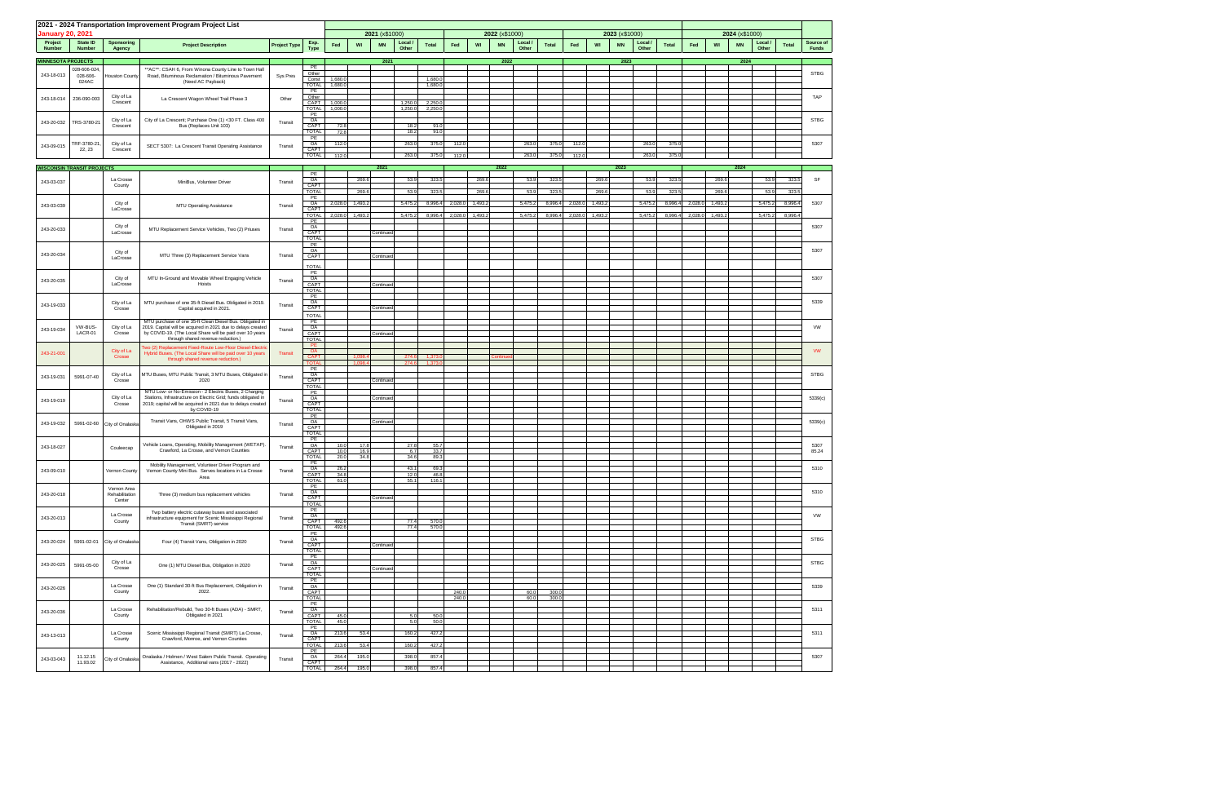| <b>January 20, 2021</b>   |                                   |                             | 2021 - 2024 Transportation Improvement Program Project List                                                                   |                     |                            | 2021 (x\$1000) |                 |                |               |       | 2022 (x\$1000)  |           |                  |              |         | 2023 (x\$1000)  |           |                |              |         |                                   |                  |              |                           |
|---------------------------|-----------------------------------|-----------------------------|-------------------------------------------------------------------------------------------------------------------------------|---------------------|----------------------------|----------------|-----------------|----------------|---------------|-------|-----------------|-----------|------------------|--------------|---------|-----------------|-----------|----------------|--------------|---------|-----------------------------------|------------------|--------------|---------------------------|
| Project<br><b>Number</b>  | State ID<br><b>Number</b>         | <b>Sponsoring</b>           | <b>Project Description</b>                                                                                                    | <b>Project Type</b> | Exp.                       | Fed            | WI<br><b>MN</b> | Local<br>Other | <b>Total</b>  | Fed   | WI              | <b>MN</b> | Local /<br>Other | <b>Total</b> | Fed     | WI              | <b>MN</b> | Local<br>Other | <b>Total</b> | Fed     | 2024 (x\$1000)<br>WI<br><b>MN</b> | Local /<br>Other | <b>Total</b> | Source of<br><b>Funds</b> |
| <b>MINNESOTA PROJECTS</b> |                                   | Agency                      |                                                                                                                               |                     | <b>Type</b>                |                | 2021            |                |               |       |                 | 2022      |                  |              |         |                 | 2023      |                |              |         | 2024                              |                  |              |                           |
|                           | 028-606-024,                      |                             | ** AC**: CSAH 6, From Winona County Line to Town Hall                                                                         |                     | PE                         |                |                 |                |               |       |                 |           |                  |              |         |                 |           |                |              |         |                                   |                  |              |                           |
| 243-18-013                | 028-606-<br>024AC                 | Houston County              | Road, Bituminous Reclamation / Bituminous Pavement<br>(Need AC Payback)                                                       | Sys Pres            | Other<br>Const             | 1,680.0        |                 |                | 1,680.        |       |                 |           |                  |              |         |                 |           |                |              |         |                                   |                  |              | <b>STBG</b>               |
|                           |                                   |                             |                                                                                                                               |                     | <b>TOTAL</b><br>PE         | 1,680.0        |                 |                | 1,680.        |       |                 |           |                  |              |         |                 |           |                |              |         |                                   |                  |              |                           |
| 243-18-014                | 236-090-003                       | City of La<br>Crescent      | La Crescent Wagon Wheel Trail Phase 3                                                                                         | Other               | Other<br>CAPT              | 1,000.0        |                 | 1,250.0        | 2,250.        |       |                 |           |                  |              |         |                 |           |                |              |         |                                   |                  |              | TAP                       |
|                           |                                   |                             |                                                                                                                               |                     | <b>TOTAL</b><br>PE         | 1,000.0        |                 | 1,250.0        | 2,250.        |       |                 |           |                  |              |         |                 |           |                |              |         |                                   |                  |              |                           |
| 243-20-032                | TRS-3780-21                       | City of La<br>Crescent      | City of La Crescent; Purchase One (1) <30 FT. Class 400<br>Bus (Replaces Unit 103)                                            | Transit             | OA<br>CAPT                 | 72.8           |                 | 18.2           | 91.           |       |                 |           |                  |              |         |                 |           |                |              |         |                                   |                  |              | <b>STBG</b>               |
|                           |                                   |                             |                                                                                                                               |                     | <b>TOTAL</b><br>PE         | 72.8           |                 | 18.2           | 91.           |       |                 |           |                  |              |         |                 |           |                |              |         |                                   |                  |              |                           |
| 243-09-015                | TRF-3780-21<br>22, 23             | City of La<br>Crescent      | SECT 5307: La Crescent Transit Operating Assistance                                                                           | Transit             | OA<br>CAPT                 | 112.0          |                 | 263.0          | 375.          | 112.0 |                 |           | 263.0            | 375.0        | 112.0   |                 |           | 263.0          | 375.0        |         |                                   |                  |              | 5307                      |
|                           |                                   |                             |                                                                                                                               |                     | <b>TOTAL</b>               | 112.0          |                 | 263.0          | 375.0         | 112.0 |                 |           | 263.0            | 375.0        | 112.0   |                 |           | 263.0          | 375.0        |         |                                   |                  |              |                           |
|                           | <b>WISCONSIN TRANSIT PROJECTS</b> |                             |                                                                                                                               |                     | PE                         |                | 2021            |                |               |       |                 | 2022      |                  |              |         |                 | 2023      |                |              |         | 2024                              |                  |              |                           |
| 243-03-037                |                                   | La Crosse<br>County         | MiniBus, Volunteer Driver                                                                                                     | Transit             | OA<br>CAPT                 |                | 269.6           | 53.9           | 323.5         |       | 269.6           |           | 53.9             | 323.5        |         | 269.6           |           | 53.9           | 323.         |         | 269.6                             | 53.9             | 323.5        | SF                        |
|                           |                                   |                             |                                                                                                                               |                     | <b>TOTAL</b><br>PE         |                | 269.6           | 53.9           | 323.5         |       | 269.6           |           | 53.9             | 323.5        |         | 269.6           |           | 53.9           | 323.5        |         | 269.6                             | 53.9             | 323.5        |                           |
| 243-03-039                |                                   | City of<br>LaCrosse         | MTU Operating Assistance                                                                                                      | Transit             | OA<br>CAPT                 | 2,028.0        | 1,493.2         | 5,475.2        | 8,996.        |       | 2,028.0 1,493.2 |           | 5,475.2          | 8,996.4      | 2,028.0 | 1,493.2         |           | 5,475.2        | 8,996.4      | 2,028.0 | 1,493.2                           | 5,475.2          | 8,996.       | 5307                      |
|                           |                                   |                             |                                                                                                                               |                     | <b>TOTAL</b><br>PE         | 2,028.0        | 1,493.2         | 5,475.2        | 8,996.4       |       | 2,028.0 1,493.2 |           | 5,475.2          | 8,996.4      |         | 2,028.0 1,493.2 |           | 5,475.2        | 8,996.4      |         | 2,028.0 1,493.2                   | 5,475.2          | 8,996.4      |                           |
| 243-20-033                |                                   | City of<br>LaCrosse         | MTU Replacement Service Vehicles, Two (2) Priuses                                                                             | Transit             | OA<br>CAPT                 |                | Continued       |                |               |       |                 |           |                  |              |         |                 |           |                |              |         |                                   |                  |              | 5307                      |
|                           |                                   |                             |                                                                                                                               |                     | TOTAL<br>PE                |                |                 |                |               |       |                 |           |                  |              |         |                 |           |                |              |         |                                   |                  |              |                           |
| 243-20-034                |                                   | City of                     | MTU Three (3) Replacement Service Vans                                                                                        | Transit             | OA<br>CAPT                 |                | Continued       |                |               |       |                 |           |                  |              |         |                 |           |                |              |         |                                   |                  |              | 5307                      |
|                           |                                   | LaCrosse                    |                                                                                                                               |                     | <b>TOTAL</b>               |                |                 |                |               |       |                 |           |                  |              |         |                 |           |                |              |         |                                   |                  |              |                           |
| 243-20-035                |                                   | City of                     | MTU In-Ground and Movable Wheel Engaging Vehicle                                                                              |                     | PE<br>OA                   |                |                 |                |               |       |                 |           |                  |              |         |                 |           |                |              |         |                                   |                  |              | 5307                      |
|                           |                                   | LaCrosse                    | Hoists                                                                                                                        | Transit             | CAPT<br><b>TOTAL</b>       |                | Continued       |                |               |       |                 |           |                  |              |         |                 |           |                |              |         |                                   |                  |              |                           |
|                           |                                   | City of La                  | MTU purchase of one 35-ft Diesel Bus. Obligated in 2019.                                                                      |                     | PE<br>OA                   |                |                 |                |               |       |                 |           |                  |              |         |                 |           |                |              |         |                                   |                  |              | 5339                      |
| 243-19-033                |                                   | Crosse                      | Capital acquired in 2021.                                                                                                     | Transit             | CAPT<br><b>TOTAL</b>       |                | Continued       |                |               |       |                 |           |                  |              |         |                 |           |                |              |         |                                   |                  |              |                           |
|                           | VW-BUS-                           |                             | MTU purchase of one 35-ft Clean Diesel Bus. Obligated in                                                                      |                     | PE                         |                |                 |                |               |       |                 |           |                  |              |         |                 |           |                |              |         |                                   |                  |              |                           |
| 243-19-034                | LACR-01                           | City of La<br>Crosse        | 2019. Capital will be acquired in 2021 due to delays created<br>by COVID-19. (The Local Share will be paid over 10 years      | Transit             | OA<br>CAPT                 |                | Continued       |                |               |       |                 |           |                  |              |         |                 |           |                |              |         |                                   |                  |              | VW                        |
|                           |                                   |                             | through shared revenue reduction.)<br>Two (2) Replacement Fixed-Route Low-Floor Diesel-Electric                               |                     | <b>TOTAL</b><br>PE         |                |                 |                |               |       |                 |           |                  |              |         |                 |           |                |              |         |                                   |                  |              |                           |
| 243-21-001                |                                   | City of La<br>Crosse        | Hybrid Buses. (The Local Share will be paid over 10 years<br>through shared revenue reduction.)                               | Transit             | OA<br><b>CAPT</b>          |                | 1.098.          | 274.6          | 1.373         |       |                 | Continu   |                  |              |         |                 |           |                |              |         |                                   |                  |              | <b>VW</b>                 |
|                           |                                   |                             |                                                                                                                               |                     | <b>TOTA</b><br>PE          |                | 1.098.4         | 274.6          | 1,373         |       |                 |           |                  |              |         |                 |           |                |              |         |                                   |                  |              |                           |
| 243-19-031                | 5991-07-40                        | City of La<br>Crosse        | MTU Buses, MTU Public Transit, 3 MTU Buses, Obligated in<br>2020                                                              | Transit             | OA<br>CAPT                 |                | Continued       |                |               |       |                 |           |                  |              |         |                 |           |                |              |         |                                   |                  |              | <b>STBG</b>               |
|                           |                                   |                             | MTU Low- or No-Emission - 2 Electric Buses, 2 Charging                                                                        |                     | <b>TOTAL</b><br>PE         |                |                 |                |               |       |                 |           |                  |              |         |                 |           |                |              |         |                                   |                  |              |                           |
| 243-19-019                |                                   | City of La<br>Crosse        | Stations, Infrastructure on Electric Grid; funds obligated in<br>2019; capital will be acquired in 2021 due to delays created | Transit             | OA<br>CAPT                 |                | Continued       |                |               |       |                 |           |                  |              |         |                 |           |                |              |         |                                   |                  |              | 5339(c)                   |
|                           |                                   |                             | by COVID-19                                                                                                                   |                     | <b>TOTAL</b><br>PE         |                |                 |                |               |       |                 |           |                  |              |         |                 |           |                |              |         |                                   |                  |              |                           |
| 243-19-032                |                                   | 5991-02-60 City of Onalaska | Transit Vans, OHWS Public Transit, 5 Transit Vans,<br>Obligated in 2019                                                       | Transit             | OA<br>CAPT                 |                | Continued       |                |               |       |                 |           |                  |              |         |                 |           |                |              |         |                                   |                  |              | 5339(c)                   |
|                           |                                   |                             |                                                                                                                               |                     | <b>TOTAL</b><br>PE         |                |                 |                |               |       |                 |           |                  |              |         |                 |           |                |              |         |                                   |                  |              |                           |
| 243-18-027                |                                   | Couleecap                   | Vehicle Loans, Operating, Mobility Management (WETAP).<br>Crawford, La Crosse, and Vernon Counties                            | Transit             | OA<br>CAPT                 | 10.0<br>10.0   | 17.8<br>16.9    | 27.8<br>6.7    | 55.<br>33.    |       |                 |           |                  |              |         |                 |           |                |              |         |                                   |                  |              | 5307<br>85.24             |
|                           |                                   |                             | Mobility Management, Volunteer Driver Program and                                                                             |                     | <b>TOTAL</b><br>PE         | 20.0           | 34.8            | 34.6           | 89.           |       |                 |           |                  |              |         |                 |           |                |              |         |                                   |                  |              |                           |
| 243-09-010                |                                   | Vernon County               | Vernon County Mini Bus. Serves locations in La Crosse<br>Area                                                                 | Transit             | OA<br>CAPT                 | 26.2<br>34.8   |                 | 43.1<br>12.0   | 69.3<br>46.8  |       |                 |           |                  |              |         |                 |           |                |              |         |                                   |                  |              | 5310                      |
|                           |                                   | Vernon Area                 |                                                                                                                               |                     | <b>TOTAL</b><br>PE         | 61.0           |                 | 55.1           | 116.1         |       |                 |           |                  |              |         |                 |           |                |              |         |                                   |                  |              |                           |
| 243-20-018                |                                   | Rehabilitation<br>Center    | Three (3) medium bus replacement vehicles                                                                                     | Transit             | $\frac{OA}{CAPT}$          |                | Continued       |                |               |       |                 |           |                  |              |         |                 |           |                |              |         |                                   |                  |              | 5310                      |
|                           |                                   |                             | Twp battery electric cutaway buses and associated                                                                             |                     | <b>TOTAL</b><br>PE         |                |                 |                |               |       |                 |           |                  |              |         |                 |           |                |              |         |                                   |                  |              |                           |
| 243-20-013                |                                   | La Crosse<br>County         | infrastructure equipment for Scenic Mississippi Regional<br>Transit (SMRT) service                                            | Transit             | OA<br>CAPT                 | 492.6          |                 | 77.4           | 570.          |       |                 |           |                  |              |         |                 |           |                |              |         |                                   |                  |              | VW                        |
|                           |                                   |                             |                                                                                                                               |                     | <b>TOTAL</b><br>PE         | 492.6          |                 | 77.4           | 570.0         |       |                 |           |                  |              |         |                 |           |                |              |         |                                   |                  |              |                           |
| 243-20-024                | 5991-02-01                        | City of Onalaska            | Four (4) Transit Vans, Obligation in 2020                                                                                     | Transit             | OA<br>CAPT                 |                | Continued       |                |               |       |                 |           |                  |              |         |                 |           |                |              |         |                                   |                  |              | <b>STBG</b>               |
|                           |                                   |                             |                                                                                                                               |                     | <b>TOTAL</b><br>PE         |                |                 |                |               |       |                 |           |                  |              |         |                 |           |                |              |         |                                   |                  |              |                           |
| 243-20-025                | 5991-05-00                        | City of La<br>Crosse        | One (1) MTU Diesel Bus, Obligation in 2020                                                                                    | Transit             | OA<br>CAPT                 |                | Continued       |                |               |       |                 |           |                  |              |         |                 |           |                |              |         |                                   |                  |              | <b>STBG</b>               |
|                           |                                   |                             |                                                                                                                               |                     | TOTAL<br>PE                |                |                 |                |               |       |                 |           |                  |              |         |                 |           |                |              |         |                                   |                  |              |                           |
| 243-20-026                |                                   | La Crosse<br>County         | One (1) Standard 30-ft Bus Replacement, Obligation in<br>2022.                                                                | Transit             | OA<br>CAPT                 |                |                 |                |               | 240.0 |                 |           | 60.0             | 300.0        |         |                 |           |                |              |         |                                   |                  |              | 5339                      |
|                           |                                   |                             |                                                                                                                               |                     | <b>TOTAL</b><br>PE         |                |                 |                |               | 240.0 |                 |           | 60.0             | 300.0        |         |                 |           |                |              |         |                                   |                  |              |                           |
| 243-20-036                |                                   | La Crosse<br>County         | Rehabilitation/Rebuild, Two 30-ft Buses (ADA) - SMRT,<br>Obligated in 2021                                                    | Transit             | OA<br>CAPT                 | 45.0           |                 | 5.0            | 50.0          |       |                 |           |                  |              |         |                 |           |                |              |         |                                   |                  |              | 5311                      |
|                           |                                   |                             |                                                                                                                               |                     | <b>TOTAL</b><br>PE         | 45.0           |                 | 5.0            | 50.0          |       |                 |           |                  |              |         |                 |           |                |              |         |                                   |                  |              |                           |
| 243-13-013                |                                   | La Crosse<br>County         | Scenic Mississippi Regional Transit (SMRT) La Crosse,<br>Crawford, Monroe, and Vernon Counties                                | Transit             | OA<br>CAPT                 | 213.6          | 53.4            | 160.2          | 427.2         |       |                 |           |                  |              |         |                 |           |                |              |         |                                   |                  |              | 5311                      |
|                           |                                   |                             |                                                                                                                               |                     | <b>TOTAL</b><br>PE         | 213.6          | 53.4            | 160.2          | 427.2         |       |                 |           |                  |              |         |                 |           |                |              |         |                                   |                  |              |                           |
| 243-03-043                | 11.12.15<br>11.93.02              | City of Onalaska            | Onalaska / Holmen / West Salem Public Transit. Operating<br>Assistance, Additional vans (2017 - 2022)                         | Transit             | OA<br>CAPT<br><b>TOTAL</b> | 264.4<br>264.4 | 195.0<br>195.0  | 398.0<br>398.0 | 857.<br>857.4 |       |                 |           |                  |              |         |                 |           |                |              |         |                                   |                  |              | 5307                      |